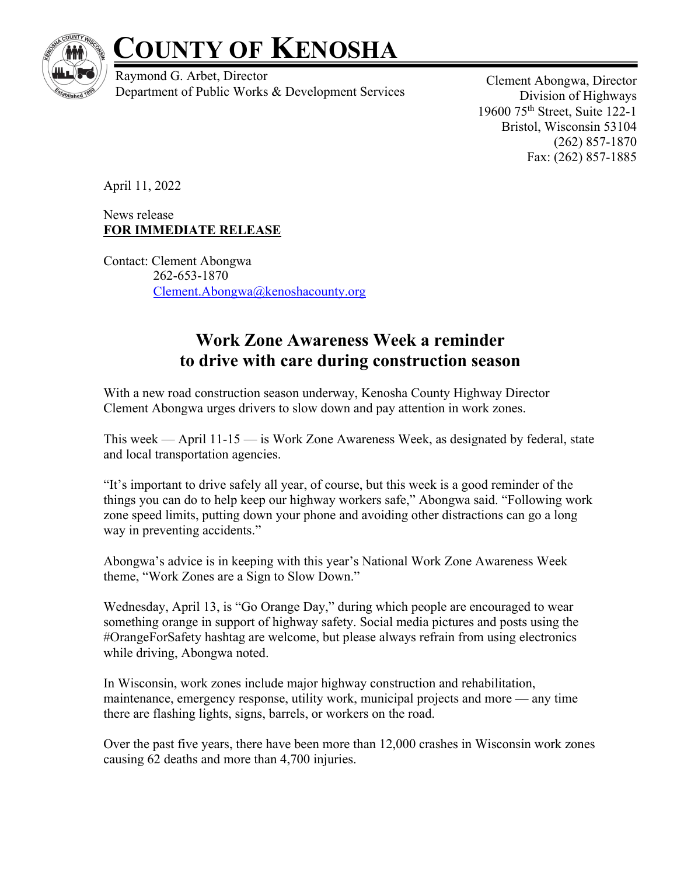

## **COUNTY OF KENOSHA**

Raymond G. Arbet, Director Department of Public Works & Development Services

Clement Abongwa, Director Division of Highways 19600 75th Street, Suite 122-1 Bristol, Wisconsin 53104 (262) 857-1870 Fax: (262) 857-1885

April 11, 2022

News release **FOR IMMEDIATE RELEASE**

Contact: Clement Abongwa 262-653-1870 Clement.Abongwa@kenoshacounty.org

## **Work Zone Awareness Week a reminder to drive with care during construction season**

With a new road construction season underway, Kenosha County Highway Director Clement Abongwa urges drivers to slow down and pay attention in work zones.

This week — April 11-15 — is Work Zone Awareness Week, as designated by federal, state and local transportation agencies.

"It's important to drive safely all year, of course, but this week is a good reminder of the things you can do to help keep our highway workers safe," Abongwa said. "Following work zone speed limits, putting down your phone and avoiding other distractions can go a long way in preventing accidents."

Abongwa's advice is in keeping with this year's National Work Zone Awareness Week theme, "Work Zones are a Sign to Slow Down."

Wednesday, April 13, is "Go Orange Day," during which people are encouraged to wear something orange in support of highway safety. Social media pictures and posts using the #OrangeForSafety hashtag are welcome, but please always refrain from using electronics while driving, Abongwa noted.

In Wisconsin, work zones include major highway construction and rehabilitation, maintenance, emergency response, utility work, municipal projects and more — any time there are flashing lights, signs, barrels, or workers on the road.

Over the past five years, there have been more than 12,000 crashes in Wisconsin work zones causing 62 deaths and more than 4,700 injuries.